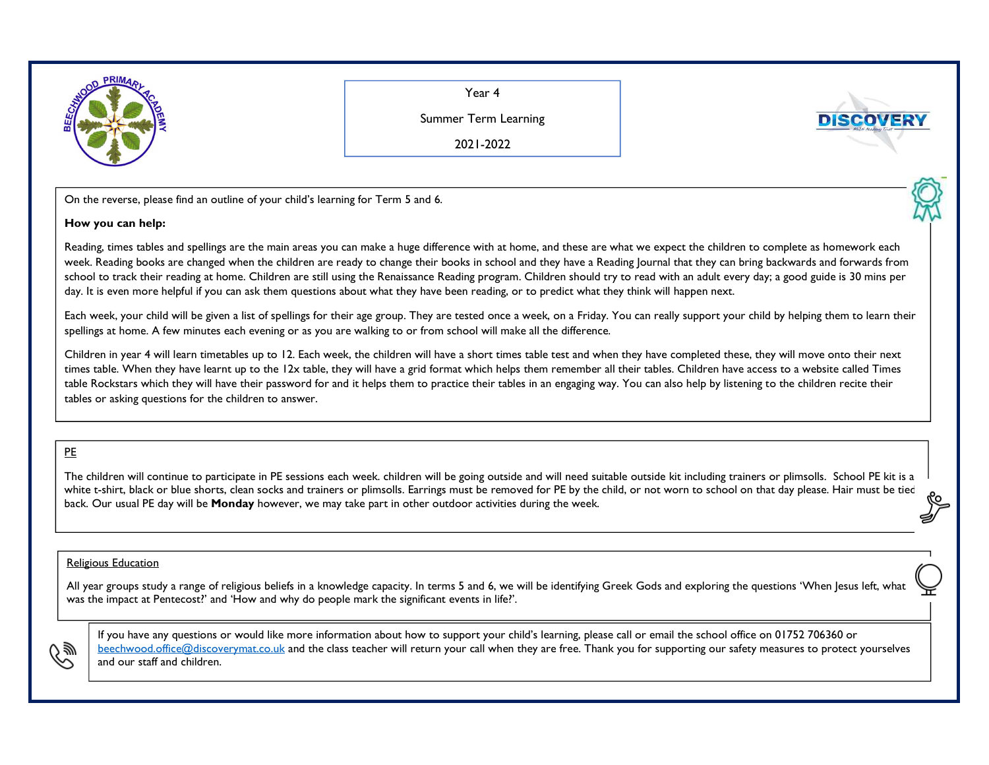

Year 4

Summer Term Learning

2021-2022

On the reverse, please find an outline of your child's learning for Term <sup>5</sup> and 6.

## **How you can help:**

Reading, times tables and spellings are the main areas you can make a huge difference with at home, and these are what we expect the children to complete as homework each week. Reading books are changed when the children are ready to change their books in school and they have a Reading Journal that they can bring backwards and forwards from school to track their reading at home. Children are still using the Renaissance Reading program. Children should try to read with an adult every day; a good guide is 30 mins per day. It is even more helpful if you can ask them questions about what they have been reading, or to predict what they think will happen next.

Each week, your child will be given a list of spellings for their age group. They are tested once a week, on a Friday. You can really support your child by helping them to learn their spellings at home. A few minutes each evening or as you are walking to or from school will make all the difference.

Children in year 4 will learn timetables up to 12. Each week, the children will have a short times table test and when they have completed these, they will move onto their next times table. When they have learnt up to the 12x table, they will have a grid format which helps them remember all their tables. Children have access to a website called Times table Rockstars which they will have their password for and it helps them to practice their tables in an engaging way. You can also help by listening to the children recite their tables or asking questions for the children to answer.

## PE

The children will continue to participate in PE sessions each week. children will be going outside and will need suitable outside kit including trainers or plimsolls. School PE kit is a white t-shirt, black or blue shorts, clean socks and trainers or plimsolls. Earrings must be removed for PE by the child, or not worn to school on that day please. Hair must be tied back. Our usual PE day will be **Monday** however, we may take part in other outdoor activities during the week.

## Religious Education

All year groups study a range of religious beliefs in a knowledge capacity. In terms 5 and 6, we will be identifying Greek Gods and exploring the questions 'When Jesus left, what was the impact at Pentecost?' and 'How and why do people mark the significant events in life?'.



If you have any questions or would like more information about how to support your child's learning, please call or email the school office on 01752 706360 or beechwood.office@discoverymat.co.uk and the class teacher will return your call when they are free. Thank you for supporting our safety measures to protect yourselves and our staff and children.